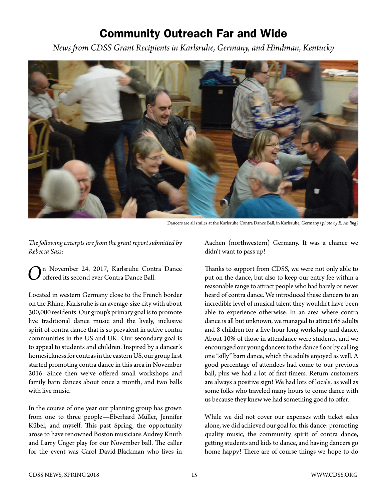## Community Outreach Far and Wide

*News from CDSS Grant Recipients in Karlsruhe, Germany, and Hindman, Kentucky*



Dancers are all smiles at the Karlsruhe Contra Dance Ball, in Karlsruhe, Germany (*photo by E. Amling)*

*The following excerpts are from the grant report submitted by Rebecca Sass:* 

n November 24, 2017, Karlsruhe Contra Dance offered its second ever Contra Dance Ball.

Located in western Germany close to the French border on the Rhine, Karlsruhe is an average-size city with about 300,000 residents. Our group's primary goal is to promote live traditional dance music and the lively, inclusive spirit of contra dance that is so prevalent in active contra communities in the US and UK. Our secondary goal is to appeal to students and children. Inspired by a dancer's homesickness for contras in the eastern US, our group first started promoting contra dance in this area in November 2016. Since then we've offered small workshops and family barn dances about once a month, and two balls with live music.

In the course of one year our planning group has grown from one to three people—Eberhard Müller, Jennifer Kübel, and myself. This past Spring, the opportunity arose to have renowned Boston musicians Audrey Knuth and Larry Unger play for our November ball. The caller for the event was Carol David-Blackman who lives in

Aachen (northwestern) Germany. It was a chance we didn't want to pass up!

Thanks to support from CDSS, we were not only able to put on the dance, but also to keep our entry fee within a reasonable range to attract people who had barely or never heard of contra dance. We introduced these dancers to an incredible level of musical talent they wouldn't have been able to experience otherwise. In an area where contra dance is all but unknown, we managed to attract 68 adults and 8 children for a five-hour long workshop and dance. About 10% of those in attendance were students, and we encouraged our young dancers to the dance floor by calling one "silly" barn dance, which the adults enjoyed as well. A good percentage of attendees had come to our previous ball, plus we had a lot of first-timers. Return customers are always a positive sign! We had lots of locals, as well as some folks who traveled many hours to come dance with us because they knew we had something good to offer.

While we did not cover our expenses with ticket sales alone, we did achieved our goal for this dance: promoting quality music, the community spirit of contra dance, getting students and kids to dance, and having dancers go home happy! There are of course things we hope to do